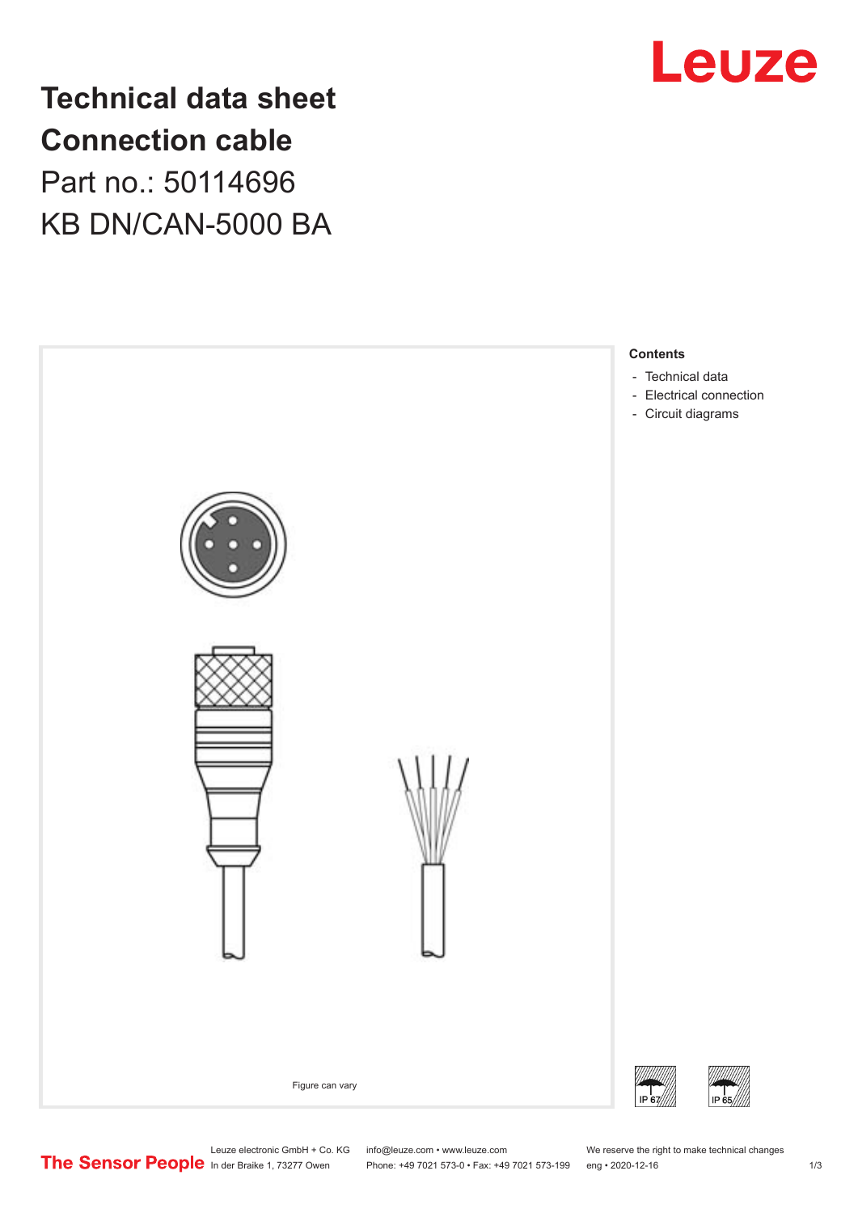

## **Technical data sheet Connection cable** Part no.: 50114696 KB DN/CAN-5000 BA



Leuze electronic GmbH + Co. KG info@leuze.com • www.leuze.com We reserve the right to make technical changes<br>
The Sensor People in der Braike 1, 73277 Owen Phone: +49 7021 573-0 • Fax: +49 7021 573-199 eng • 2020-12-16

Phone: +49 7021 573-0 • Fax: +49 7021 573-199 eng • 2020-12-16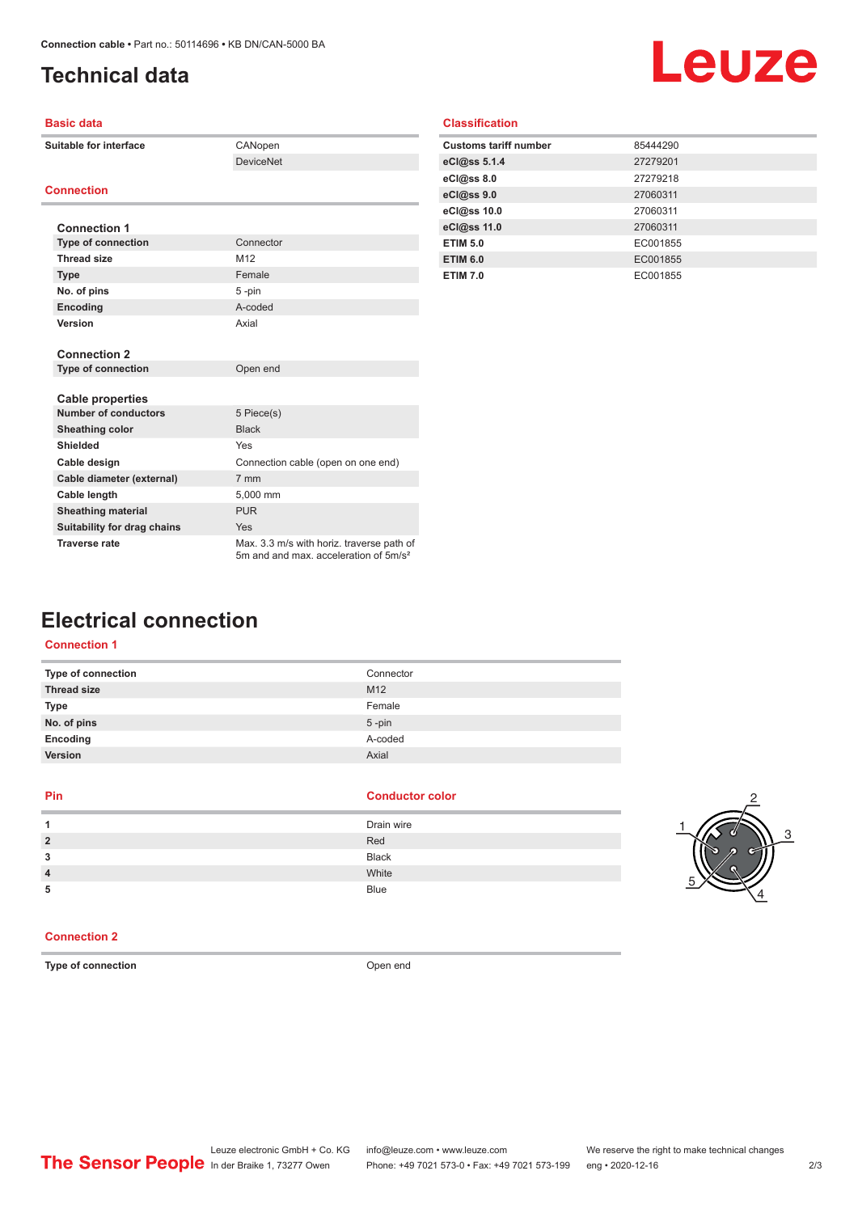## <span id="page-1-0"></span>**Technical data**

# Leuze

| <b>Basic data</b>           |                                                                                                |  |  |
|-----------------------------|------------------------------------------------------------------------------------------------|--|--|
| Suitable for interface      | CANopen                                                                                        |  |  |
|                             | <b>DeviceNet</b>                                                                               |  |  |
|                             |                                                                                                |  |  |
| <b>Connection</b>           |                                                                                                |  |  |
|                             |                                                                                                |  |  |
| <b>Connection 1</b>         |                                                                                                |  |  |
| <b>Type of connection</b>   | Connector                                                                                      |  |  |
| <b>Thread size</b>          | M <sub>12</sub>                                                                                |  |  |
| <b>Type</b>                 | Female                                                                                         |  |  |
| No. of pins                 | 5-pin                                                                                          |  |  |
| Encoding                    | A-coded                                                                                        |  |  |
| Version                     | Axial                                                                                          |  |  |
|                             |                                                                                                |  |  |
| <b>Connection 2</b>         |                                                                                                |  |  |
| <b>Type of connection</b>   | Open end                                                                                       |  |  |
|                             |                                                                                                |  |  |
| <b>Cable properties</b>     |                                                                                                |  |  |
| <b>Number of conductors</b> | 5 Piece(s)                                                                                     |  |  |
| <b>Sheathing color</b>      | <b>Black</b>                                                                                   |  |  |
| <b>Shielded</b>             | Yes                                                                                            |  |  |
| Cable design                | Connection cable (open on one end)                                                             |  |  |
| Cable diameter (external)   | 7 mm                                                                                           |  |  |
| Cable length                | 5.000 mm                                                                                       |  |  |
| <b>Sheathing material</b>   | <b>PUR</b>                                                                                     |  |  |
| Suitability for drag chains | Yes                                                                                            |  |  |
| <b>Traverse rate</b>        | Max. 3.3 m/s with horiz. traverse path of<br>5m and and max, acceleration of 5m/s <sup>2</sup> |  |  |

| <b>Customs tariff number</b> | 85444290 |
|------------------------------|----------|
| eCl@ss 5.1.4                 | 27279201 |
| eCl@ss 8.0                   | 27279218 |
| eCl@ss 9.0                   | 27060311 |
| eCl@ss 10.0                  | 27060311 |
| eCl@ss 11.0                  | 27060311 |
| <b>ETIM 5.0</b>              | EC001855 |
| <b>ETIM 6.0</b>              | EC001855 |
| <b>ETIM 7.0</b>              | EC001855 |
|                              |          |

### **Electrical connection**

#### **Connection 1**

| Type of connection | Connector       |
|--------------------|-----------------|
| <b>Thread size</b> | M <sub>12</sub> |
| Type               | Female          |
| No. of pins        | $5$ -pin        |
| Encoding           | A-coded         |
| Version            | Axial           |
|                    |                 |

#### **Pin Conductor color**

| А              | Drain wire   |
|----------------|--------------|
| $\overline{2}$ | Red          |
| 3              | <b>Black</b> |
| $\overline{4}$ | White        |
| 5              | <b>Blue</b>  |



#### **Connection 2**

**Type of connection CONNECTION** Open end